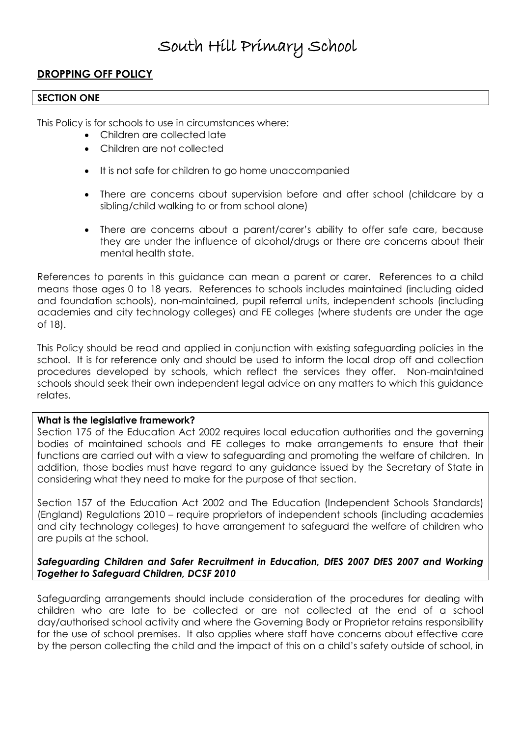## **DROPPING OFF POLICY**

#### **SECTION ONE**

This Policy is for schools to use in circumstances where:

- Children are collected late
- Children are not collected
- It is not safe for children to go home unaccompanied
- There are concerns about supervision before and after school (childcare by a sibling/child walking to or from school alone)
- There are concerns about a parent/carer's ability to offer safe care, because they are under the influence of alcohol/drugs or there are concerns about their mental health state.

References to parents in this guidance can mean a parent or carer. References to a child means those ages 0 to 18 years. References to schools includes maintained (including aided and foundation schools), non-maintained, pupil referral units, independent schools (including academies and city technology colleges) and FE colleges (where students are under the age of 18).

This Policy should be read and applied in conjunction with existing safeguarding policies in the school. It is for reference only and should be used to inform the local drop off and collection procedures developed by schools, which reflect the services they offer. Non-maintained schools should seek their own independent legal advice on any matters to which this guidance relates.

#### **What is the legislative framework?**

Section 175 of the Education Act 2002 requires local education authorities and the governing bodies of maintained schools and FE colleges to make arrangements to ensure that their functions are carried out with a view to safeguarding and promoting the welfare of children. In addition, those bodies must have regard to any guidance issued by the Secretary of State in considering what they need to make for the purpose of that section.

Section 157 of the Education Act 2002 and The Education (Independent Schools Standards) (England) Regulations 2010 – require proprietors of independent schools (including academies and city technology colleges) to have arrangement to safeguard the welfare of children who are pupils at the school.

## *Safeguarding Children and Safer Recruitment in Education, DfES 2007 DfES 2007 and Working Together to Safeguard Children, DCSF 2010*

Safeguarding arrangements should include consideration of the procedures for dealing with children who are late to be collected or are not collected at the end of a school day/authorised school activity and where the Governing Body or Proprietor retains responsibility for the use of school premises. It also applies where staff have concerns about effective care by the person collecting the child and the impact of this on a child's safety outside of school, in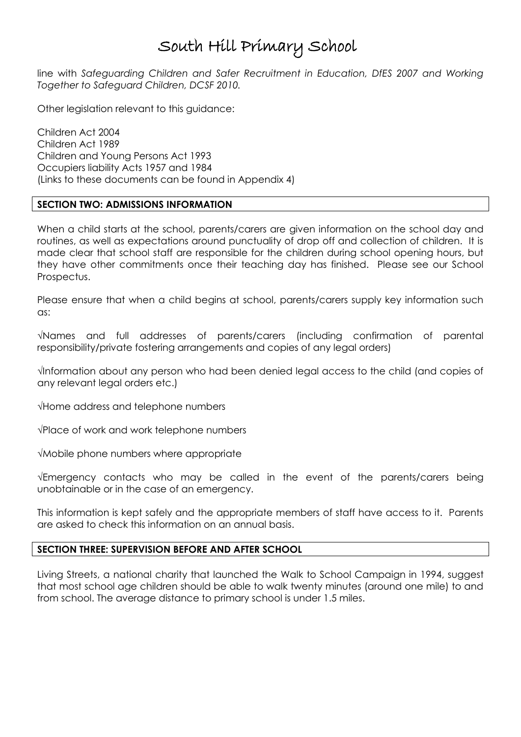line with Safeguarding Children and Safer Recruitment in Education, DfES 2007 and Working *Together to Safeguard Children, DCSF 2010.*

Other legislation relevant to this guidance:

Children Act 2004 Children Act 1989 Children and Young Persons Act 1993 Occupiers liability Acts 1957 and 1984 (Links to these documents can be found in Appendix 4)

### **SECTION TWO: ADMISSIONS INFORMATION**

When a child starts at the school, parents/carers are given information on the school day and routines, as well as expectations around punctuality of drop off and collection of children. It is made clear that school staff are responsible for the children during school opening hours, but they have other commitments once their teaching day has finished. Please see our School Prospectus.

Please ensure that when a child begins at school, parents/carers supply key information such as:

√Names and full addresses of parents/carers (including confirmation of parental responsibility/private fostering arrangements and copies of any legal orders)

√Information about any person who had been denied legal access to the child (and copies of any relevant legal orders etc.)

√Home address and telephone numbers

√Place of work and work telephone numbers

√Mobile phone numbers where appropriate

√Emergency contacts who may be called in the event of the parents/carers being unobtainable or in the case of an emergency.

This information is kept safely and the appropriate members of staff have access to it. Parents are asked to check this information on an annual basis.

### **SECTION THREE: SUPERVISION BEFORE AND AFTER SCHOOL**

Living Streets, a national charity that launched the Walk to School Campaign in 1994, suggest that most school age children should be able to walk twenty minutes (around one mile) to and from school. The average distance to primary school is under 1.5 miles.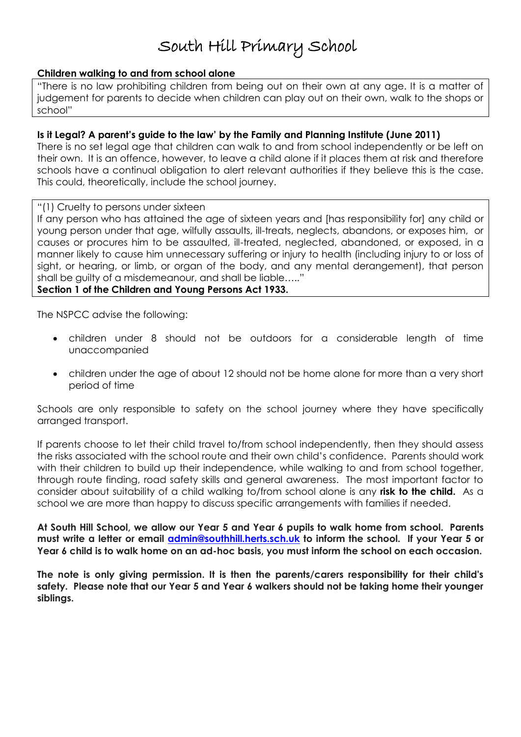## **Children walking to and from school alone**

"There is no law prohibiting children from being out on their own at any age. It is a matter of judgement for parents to decide when children can play out on their own, walk to the shops or school"

## **Is it Legal? A parent's guide to the law' by the Family and Planning Institute (June 2011)**

There is no set legal age that children can walk to and from school independently or be left on their own. It is an offence, however, to leave a child alone if it places them at risk and therefore schools have a continual obligation to alert relevant authorities if they believe this is the case. This could, theoretically, include the school journey.

"(1) Cruelty to persons under sixteen

If any person who has attained the age of sixteen years and [has responsibility for] any child or young person under that age, wilfully assaults, ill-treats, neglects, abandons, or exposes him, or causes or procures him to be assaulted, ill-treated, neglected, abandoned, or exposed, in a manner likely to cause him unnecessary suffering or injury to health (including injury to or loss of sight, or hearing, or limb, or organ of the body, and any mental derangement), that person shall be guilty of a misdemeanour, and shall be liable….."

## **Section 1 of the Children and Young Persons Act 1933.**

The NSPCC advise the following:

- children under 8 should not be outdoors for a considerable length of time unaccompanied
- children under the age of about 12 should not be home alone for more than a very short period of time

Schools are only responsible to safety on the school journey where they have specifically arranged transport.

If parents choose to let their child travel to/from school independently, then they should assess the risks associated with the school route and their own child's confidence. Parents should work with their children to build up their independence, while walking to and from school together, through route finding, road safety skills and general awareness. The most important factor to consider about suitability of a child walking to/from school alone is any **risk to the child.** As a school we are more than happy to discuss specific arrangements with families if needed.

**At South Hill School, we allow our Year 5 and Year 6 pupils to walk home from school. Parents must write a letter or email [admin@southhill.herts.sch.uk](mailto:admin@southhill.herts.sch.uk) to inform the school. If your Year 5 or Year 6 child is to walk home on an ad-hoc basis, you must inform the school on each occasion.**

**The note is only giving permission. It is then the parents/carers responsibility for their child's safety. Please note that our Year 5 and Year 6 walkers should not be taking home their younger siblings.**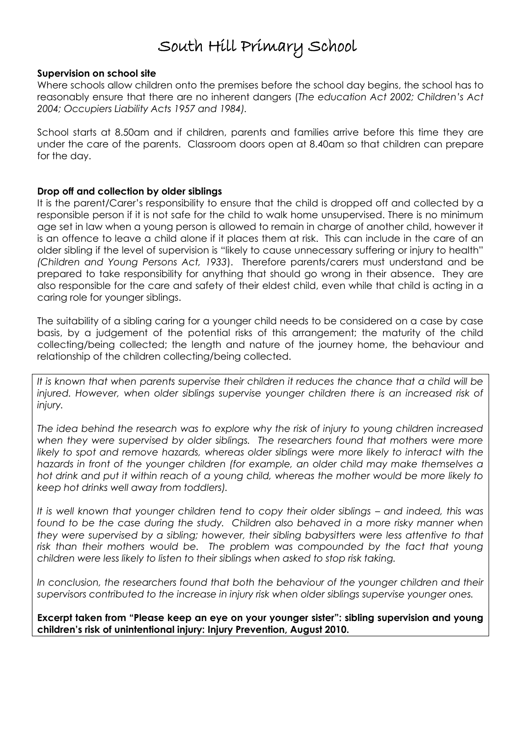#### **Supervision on school site**

Where schools allow children onto the premises before the school day begins, the school has to reasonably ensure that there are no inherent dangers (*The education Act 2002; Children's Act 2004; Occupiers Liability Acts 1957 and 1984).*

School starts at 8.50am and if children, parents and families arrive before this time they are under the care of the parents. Classroom doors open at 8.40am so that children can prepare for the day.

### **Drop off and collection by older siblings**

It is the parent/Carer's responsibility to ensure that the child is dropped off and collected by a responsible person if it is not safe for the child to walk home unsupervised. There is no minimum age set in law when a young person is allowed to remain in charge of another child, however it is an offence to leave a child alone if it places them at risk. This can include in the care of an older sibling if the level of supervision is "likely to cause unnecessary suffering or injury to health" *(Children and Young Persons Act, 1933*). Therefore parents/carers must understand and be prepared to take responsibility for anything that should go wrong in their absence. They are also responsible for the care and safety of their eldest child, even while that child is acting in a caring role for younger siblings.

The suitability of a sibling caring for a younger child needs to be considered on a case by case basis, by a judgement of the potential risks of this arrangement; the maturity of the child collecting/being collected; the length and nature of the journey home, the behaviour and relationship of the children collecting/being collected.

*It is known that when parents supervise their children it reduces the chance that a child will be*  injured. However, when older siblings supervise younger children there is an increased risk of *injury.*

*The idea behind the research was to explore why the risk of injury to young children increased when they were supervised by older siblings. The researchers found that mothers were more likely to spot and remove hazards, whereas older siblings were more likely to interact with the hazards in front of the younger children (for example, an older child may make themselves a hot drink and put it within reach of a young child, whereas the mother would be more likely to keep hot drinks well away from toddlers).*

*It is well known that younger children tend to copy their older siblings – and indeed, this was* found to be the case during the study. Children also behaved in a more risky manner when *they were supervised by a sibling; however, their sibling babysitters were less attentive to that*  risk than their mothers would be. The problem was compounded by the fact that young *children were less likely to listen to their siblings when asked to stop risk taking.*

*In conclusion, the researchers found that both the behaviour of the younger children and their supervisors contributed to the increase in injury risk when older siblings supervise younger ones.*

**Excerpt taken from "Please keep an eye on your younger sister": sibling supervision and young children's risk of unintentional injury: Injury Prevention, August 2010.**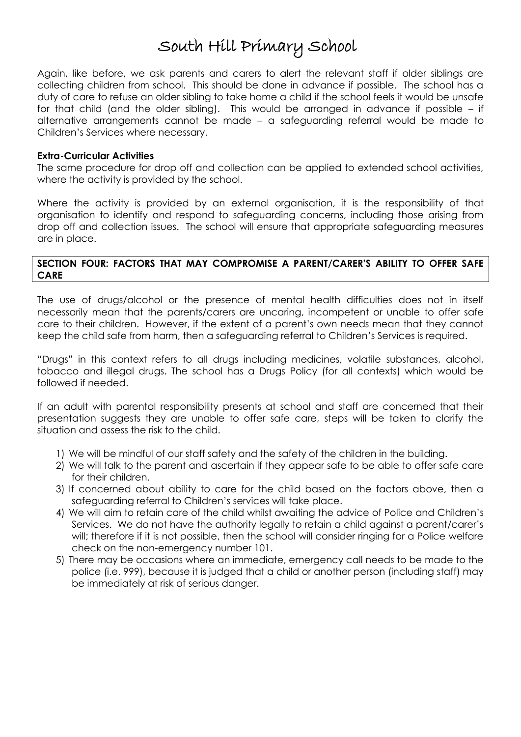Again, like before, we ask parents and carers to alert the relevant staff if older siblings are collecting children from school. This should be done in advance if possible. The school has a duty of care to refuse an older sibling to take home a child if the school feels it would be unsafe for that child (and the older sibling). This would be arranged in advance if possible – if alternative arrangements cannot be made – a safeguarding referral would be made to Children's Services where necessary.

#### **Extra-Curricular Activities**

The same procedure for drop off and collection can be applied to extended school activities, where the activity is provided by the school.

Where the activity is provided by an external organisation, it is the responsibility of that organisation to identify and respond to safeguarding concerns, including those arising from drop off and collection issues. The school will ensure that appropriate safeguarding measures are in place.

### **SECTION FOUR: FACTORS THAT MAY COMPROMISE A PARENT/CARER'S ABILITY TO OFFER SAFE CARE**

The use of drugs/alcohol or the presence of mental health difficulties does not in itself necessarily mean that the parents/carers are uncaring, incompetent or unable to offer safe care to their children. However, if the extent of a parent's own needs mean that they cannot keep the child safe from harm, then a safeguarding referral to Children's Services is required.

"Drugs" in this context refers to all drugs including medicines, volatile substances, alcohol, tobacco and illegal drugs. The school has a Drugs Policy (for all contexts) which would be followed if needed.

If an adult with parental responsibility presents at school and staff are concerned that their presentation suggests they are unable to offer safe care, steps will be taken to clarify the situation and assess the risk to the child.

- 1) We will be mindful of our staff safety and the safety of the children in the building.
- 2) We will talk to the parent and ascertain if they appear safe to be able to offer safe care for their children.
- 3) If concerned about ability to care for the child based on the factors above, then a safeguarding referral to Children's services will take place.
- 4) We will aim to retain care of the child whilst awaiting the advice of Police and Children's Services. We do not have the authority legally to retain a child against a parent/carer's will; therefore if it is not possible, then the school will consider ringing for a Police welfare check on the non-emergency number 101.
- 5) There may be occasions where an immediate, emergency call needs to be made to the police (i.e. 999), because it is judged that a child or another person (including staff) may be immediately at risk of serious danger.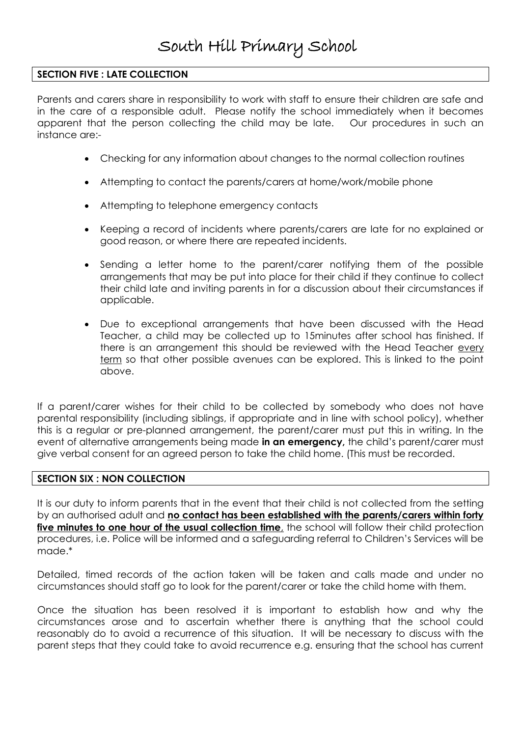## **SECTION FIVE : LATE COLLECTION**

Parents and carers share in responsibility to work with staff to ensure their children are safe and in the care of a responsible adult. Please notify the school immediately when it becomes apparent that the person collecting the child may be late. Our procedures in such an instance are:-

- Checking for any information about changes to the normal collection routines
- Attempting to contact the parents/carers at home/work/mobile phone
- Attempting to telephone emergency contacts
- Keeping a record of incidents where parents/carers are late for no explained or good reason, or where there are repeated incidents.
- Sending a letter home to the parent/carer notifying them of the possible arrangements that may be put into place for their child if they continue to collect their child late and inviting parents in for a discussion about their circumstances if applicable.
- Due to exceptional arrangements that have been discussed with the Head Teacher, a child may be collected up to 15minutes after school has finished. If there is an arrangement this should be reviewed with the Head Teacher every term so that other possible avenues can be explored. This is linked to the point above.

If a parent/carer wishes for their child to be collected by somebody who does not have parental responsibility (including siblings, if appropriate and in line with school policy), whether this is a regular or pre-planned arrangement, the parent/carer must put this in writing. In the event of alternative arrangements being made **in an emergency,** the child's parent/carer must give verbal consent for an agreed person to take the child home. (This must be recorded.

### **SECTION SIX : NON COLLECTION**

It is our duty to inform parents that in the event that their child is not collected from the setting by an authorised adult and **no contact has been established with the parents/carers within forty five minutes to one hour of the usual collection time**, the school will follow their child protection procedures, i.e. Police will be informed and a safeguarding referral to Children's Services will be made.\*

Detailed, timed records of the action taken will be taken and calls made and under no circumstances should staff go to look for the parent/carer or take the child home with them.

Once the situation has been resolved it is important to establish how and why the circumstances arose and to ascertain whether there is anything that the school could reasonably do to avoid a recurrence of this situation. It will be necessary to discuss with the parent steps that they could take to avoid recurrence e.g. ensuring that the school has current